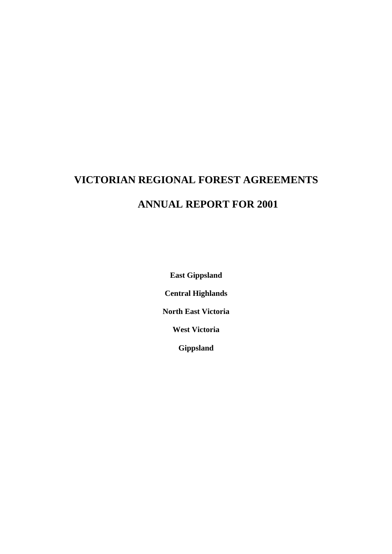## **VICTORIAN REGIONAL FOREST AGREEMENTS ANNUAL REPORT FOR 2001**

**East Gippsland Central Highlands North East Victoria West Victoria Gippsland**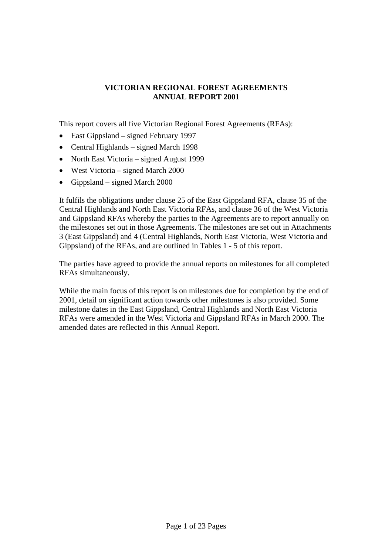## **VICTORIAN REGIONAL FOREST AGREEMENTS ANNUAL REPORT 2001**

This report covers all five Victorian Regional Forest Agreements (RFAs):

- East Gippsland signed February 1997
- Central Highlands signed March 1998
- North East Victoria signed August 1999
- West Victoria signed March 2000
- Gippsland signed March 2000

It fulfils the obligations under clause 25 of the East Gippsland RFA, clause 35 of the Central Highlands and North East Victoria RFAs, and clause 36 of the West Victoria and Gippsland RFAs whereby the parties to the Agreements are to report annually on the milestones set out in those Agreements. The milestones are set out in Attachments 3 (East Gippsland) and 4 (Central Highlands, North East Victoria, West Victoria and Gippsland) of the RFAs, and are outlined in Tables 1 - 5 of this report.

The parties have agreed to provide the annual reports on milestones for all completed RFAs simultaneously.

While the main focus of this report is on milestones due for completion by the end of 2001, detail on significant action towards other milestones is also provided. Some milestone dates in the East Gippsland, Central Highlands and North East Victoria RFAs were amended in the West Victoria and Gippsland RFAs in March 2000. The amended dates are reflected in this Annual Report.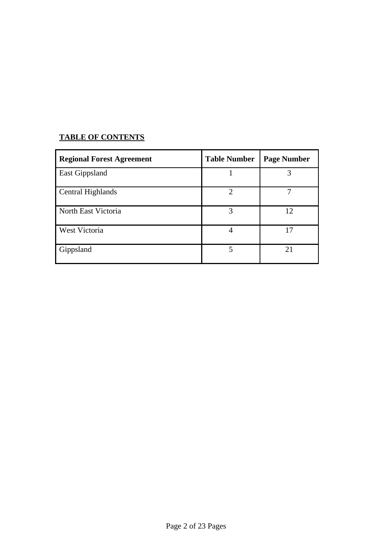## **TABLE OF CONTENTS**

| <b>Regional Forest Agreement</b> | <b>Table Number</b> | <b>Page Number</b> |
|----------------------------------|---------------------|--------------------|
| <b>East Gippsland</b>            |                     | 3                  |
| Central Highlands                | $\mathcal{D}$       |                    |
| North East Victoria              | 3                   | 12                 |
| <b>West Victoria</b>             |                     | 17                 |
| Gippsland                        | 5                   | 21                 |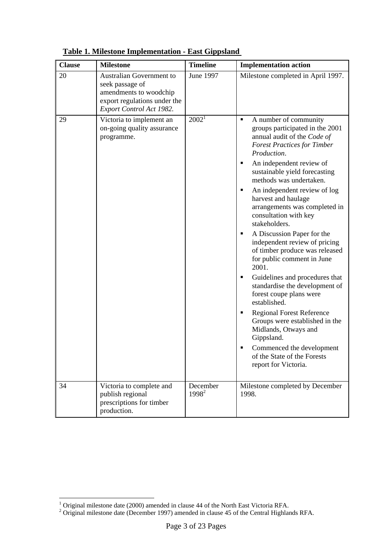| <b>Clause</b> | <b>Milestone</b>                                                                                                                  | <b>Timeline</b>               | <b>Implementation action</b>                                                                                                                                                                                                                                                                                                                                                                                                                                                                                                  |
|---------------|-----------------------------------------------------------------------------------------------------------------------------------|-------------------------------|-------------------------------------------------------------------------------------------------------------------------------------------------------------------------------------------------------------------------------------------------------------------------------------------------------------------------------------------------------------------------------------------------------------------------------------------------------------------------------------------------------------------------------|
| 20            | Australian Government to<br>seek passage of<br>amendments to woodchip<br>export regulations under the<br>Export Control Act 1982. | June 1997                     | Milestone completed in April 1997.                                                                                                                                                                                                                                                                                                                                                                                                                                                                                            |
| 29            | Victoria to implement an<br>on-going quality assurance<br>programme.                                                              | $2002^1$                      | A number of community<br>٠<br>groups participated in the 2001<br>annual audit of the Code of<br><b>Forest Practices for Timber</b><br>Production.<br>An independent review of<br>٠<br>sustainable yield forecasting<br>methods was undertaken.<br>An independent review of log<br>п<br>harvest and haulage<br>arrangements was completed in<br>consultation with key<br>stakeholders.<br>A Discussion Paper for the<br>independent review of pricing<br>of timber produce was released<br>for public comment in June<br>2001. |
|               |                                                                                                                                   |                               | Guidelines and procedures that<br>٠<br>standardise the development of<br>forest coupe plans were<br>established.                                                                                                                                                                                                                                                                                                                                                                                                              |
|               |                                                                                                                                   |                               | <b>Regional Forest Reference</b><br>Groups were established in the<br>Midlands, Otways and<br>Gippsland.                                                                                                                                                                                                                                                                                                                                                                                                                      |
|               |                                                                                                                                   |                               | Commenced the development<br>of the State of the Forests<br>report for Victoria.                                                                                                                                                                                                                                                                                                                                                                                                                                              |
| 34            | Victoria to complete and<br>publish regional<br>prescriptions for timber<br>production.                                           | December<br>1998 <sup>2</sup> | Milestone completed by December<br>1998.                                                                                                                                                                                                                                                                                                                                                                                                                                                                                      |

**Table 1. Milestone Implementation - East Gippsland** 

<span id="page-3-1"></span><span id="page-3-0"></span>

<sup>&</sup>lt;sup>1</sup> Original milestone date (2000) amended in clause 44 of the North East Victoria RFA.<br><sup>2</sup> Original milestone date (December 1997) amended in clause 45 of the Central Highlands RFA.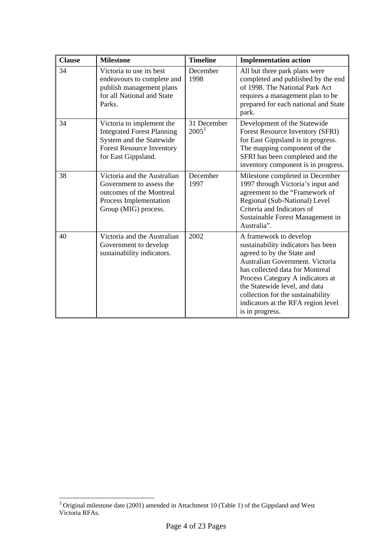| <b>Clause</b> | <b>Milestone</b>                                                                                                                                      | <b>Timeline</b>         | <b>Implementation action</b>                                                                                                                                                                                                                                                                                                        |
|---------------|-------------------------------------------------------------------------------------------------------------------------------------------------------|-------------------------|-------------------------------------------------------------------------------------------------------------------------------------------------------------------------------------------------------------------------------------------------------------------------------------------------------------------------------------|
| 34            | Victoria to use its best<br>endeavours to complete and<br>publish management plans<br>for all National and State<br>Parks.                            | December<br>1998        | All but three park plans were<br>completed and published by the end<br>of 1998. The National Park Act<br>requires a management plan to be<br>prepared for each national and State<br>park.                                                                                                                                          |
| 34            | Victoria to implement the<br><b>Integrated Forest Planning</b><br>System and the Statewide<br><b>Forest Resource Inventory</b><br>for East Gippsland. | 31 December<br>$2005^3$ | Development of the Statewide<br>Forest Resource Inventory (SFRI)<br>for East Gippsland is in progress.<br>The mapping component of the<br>SFRI has been completed and the<br>inventory component is in progress.                                                                                                                    |
| 38            | Victoria and the Australian<br>Government to assess the<br>outcomes of the Montreal<br>Process Implementation<br>Group (MIG) process.                 | December<br>1997        | Milestone completed in December<br>1997 through Victoria's input and<br>agreement to the "Framework of<br>Regional (Sub-National) Level<br>Criteria and Indicators of<br>Sustainable Forest Management in<br>Australia".                                                                                                            |
| 40            | Victoria and the Australian<br>Government to develop<br>sustainability indicators.                                                                    | 2002                    | A framework to develop<br>sustainability indicators has been<br>agreed to by the State and<br>Australian Government. Victoria<br>has collected data for Montreal<br>Process Category A indicators at<br>the Statewide level, and data<br>collection for the sustainability<br>indicators at the RFA region level<br>is in progress. |

<span id="page-4-0"></span><sup>&</sup>lt;sup>3</sup> Original milestone date (2001) amended in Attachment 10 (Table 1) of the Gippsland and West Victoria RFAs.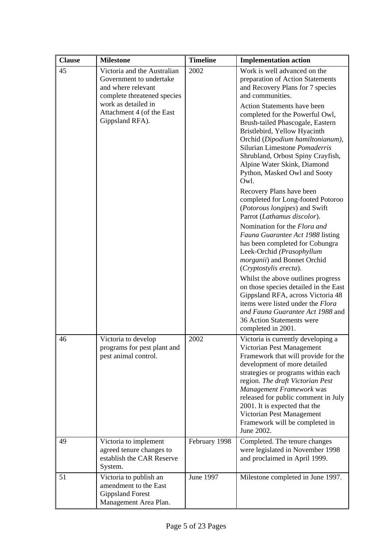| <b>Clause</b> | <b>Milestone</b>                                                                                            | <b>Timeline</b> | <b>Implementation action</b>                                                                                                                                                                                                                                                                                                                                                                      |
|---------------|-------------------------------------------------------------------------------------------------------------|-----------------|---------------------------------------------------------------------------------------------------------------------------------------------------------------------------------------------------------------------------------------------------------------------------------------------------------------------------------------------------------------------------------------------------|
| 45            | Victoria and the Australian<br>Government to undertake<br>and where relevant<br>complete threatened species | 2002            | Work is well advanced on the<br>preparation of Action Statements<br>and Recovery Plans for 7 species<br>and communities.                                                                                                                                                                                                                                                                          |
|               | work as detailed in<br>Attachment 4 (of the East<br>Gippsland RFA).                                         |                 | Action Statements have been<br>completed for the Powerful Owl,<br>Brush-tailed Phascogale, Eastern<br>Bristlebird, Yellow Hyacinth<br>Orchid (Dipodium hamiltonianum),<br>Silurian Limestone Pomaderris<br>Shrubland, Orbost Spiny Crayfish,<br>Alpine Water Skink, Diamond<br>Python, Masked Owl and Sooty<br>Owl.                                                                               |
|               |                                                                                                             |                 | Recovery Plans have been<br>completed for Long-footed Potoroo<br>(Potorous longipes) and Swift<br>Parrot (Lathamus discolor).                                                                                                                                                                                                                                                                     |
|               |                                                                                                             |                 | Nomination for the Flora and<br>Fauna Guarantee Act 1988 listing<br>has been completed for Cobungra<br>Leek-Orchid (Prasophyllum<br>morganii) and Bonnet Orchid<br>(Cryptostylis erecta).                                                                                                                                                                                                         |
|               |                                                                                                             |                 | Whilst the above outlines progress<br>on those species detailed in the East<br>Gippsland RFA, across Victoria 48<br>items were listed under the Flora<br>and Fauna Guarantee Act 1988 and<br>36 Action Statements were<br>completed in 2001.                                                                                                                                                      |
| 46            | Victoria to develop<br>programs for pest plant and<br>pest animal control.                                  | 2002            | Victoria is currently developing a<br>Victorian Pest Management<br>Framework that will provide for the<br>development of more detailed<br>strategies or programs within each<br>region. The draft Victorian Pest<br>Management Framework was<br>released for public comment in July<br>2001. It is expected that the<br>Victorian Pest Management<br>Framework will be completed in<br>June 2002. |
| 49            | Victoria to implement<br>agreed tenure changes to<br>establish the CAR Reserve<br>System.                   | February 1998   | Completed. The tenure changes<br>were legislated in November 1998<br>and proclaimed in April 1999.                                                                                                                                                                                                                                                                                                |
| 51            | Victoria to publish an<br>amendment to the East<br><b>Gippsland Forest</b><br>Management Area Plan.         | June 1997       | Milestone completed in June 1997.                                                                                                                                                                                                                                                                                                                                                                 |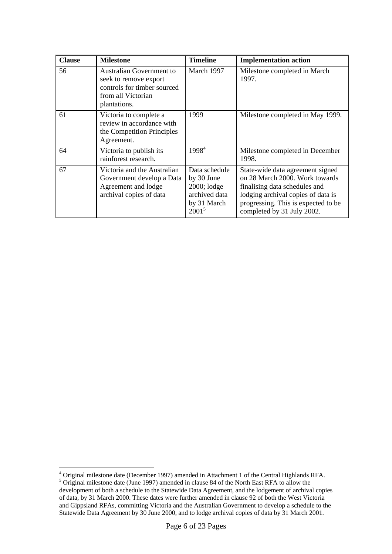| <b>Clause</b> | <b>Milestone</b>                                                                                                              | <b>Timeline</b>                                                                          | <b>Implementation action</b>                                                                                                                                                                                   |
|---------------|-------------------------------------------------------------------------------------------------------------------------------|------------------------------------------------------------------------------------------|----------------------------------------------------------------------------------------------------------------------------------------------------------------------------------------------------------------|
| 56            | <b>Australian Government to</b><br>seek to remove export<br>controls for timber sourced<br>from all Victorian<br>plantations. | March 1997                                                                               | Milestone completed in March<br>1997.                                                                                                                                                                          |
| 61            | Victoria to complete a<br>review in accordance with<br>the Competition Principles<br>Agreement.                               | 1999                                                                                     | Milestone completed in May 1999.                                                                                                                                                                               |
| 64            | Victoria to publish its<br>rainforest research.                                                                               | $1998^4$                                                                                 | Milestone completed in December<br>1998.                                                                                                                                                                       |
| 67            | Victoria and the Australian<br>Government develop a Data<br>Agreement and lodge<br>archival copies of data                    | Data schedule<br>by 30 June<br>$2000;$ lodge<br>archived data<br>by 31 March<br>$2001^5$ | State-wide data agreement signed<br>on 28 March 2000. Work towards<br>finalising data schedules and<br>lodging archival copies of data is<br>progressing. This is expected to be<br>completed by 31 July 2002. |

<span id="page-6-1"></span><span id="page-6-0"></span><sup>4&</sup>lt;br>
<sup>4</sup> Original milestone date (December 1997) amended in Attachment 1 of the Central Highlands RFA.<br>
<sup>5</sup> Original milestone date (June 1997) amended in clause 84 of the North East RFA to allow the development of both a schedule to the Statewide Data Agreement, and the lodgement of archival copies of data, by 31 March 2000. These dates were further amended in clause 92 of both the West Victoria and Gippsland RFAs, committing Victoria and the Australian Government to develop a schedule to the Statewide Data Agreement by 30 June 2000, and to lodge archival copies of data by 31 March 2001.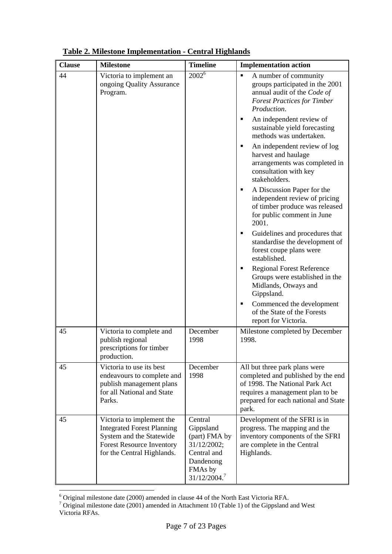| <b>Clause</b> | <b>Milestone</b>                                                                                                                                             | <b>Timeline</b>                                                                                                         | <b>Implementation action</b>                                                                                                                                                               |
|---------------|--------------------------------------------------------------------------------------------------------------------------------------------------------------|-------------------------------------------------------------------------------------------------------------------------|--------------------------------------------------------------------------------------------------------------------------------------------------------------------------------------------|
| 44            | Victoria to implement an<br>ongoing Quality Assurance<br>Program.                                                                                            | $2002^6$                                                                                                                | A number of community<br>$\blacksquare$<br>groups participated in the 2001<br>annual audit of the Code of<br><b>Forest Practices for Timber</b><br>Production.                             |
|               |                                                                                                                                                              |                                                                                                                         | An independent review of<br>٠<br>sustainable yield forecasting<br>methods was undertaken.                                                                                                  |
|               |                                                                                                                                                              |                                                                                                                         | An independent review of log<br>٠<br>harvest and haulage<br>arrangements was completed in<br>consultation with key<br>stakeholders.                                                        |
|               |                                                                                                                                                              |                                                                                                                         | A Discussion Paper for the<br>٠<br>independent review of pricing<br>of timber produce was released<br>for public comment in June<br>2001.                                                  |
|               |                                                                                                                                                              |                                                                                                                         | Guidelines and procedures that<br>٠<br>standardise the development of<br>forest coupe plans were<br>established.                                                                           |
|               |                                                                                                                                                              |                                                                                                                         | <b>Regional Forest Reference</b><br>٠<br>Groups were established in the<br>Midlands, Otways and<br>Gippsland.                                                                              |
|               |                                                                                                                                                              |                                                                                                                         | Commenced the development<br>٠<br>of the State of the Forests<br>report for Victoria.                                                                                                      |
| 45            | Victoria to complete and<br>publish regional<br>prescriptions for timber<br>production.                                                                      | December<br>1998                                                                                                        | Milestone completed by December<br>1998.                                                                                                                                                   |
| 45            | Victoria to use its best<br>endeavours to complete and<br>publish management plans<br>for all National and State<br>Parks.                                   | December<br>1998                                                                                                        | All but three park plans were<br>completed and published by the end<br>of 1998. The National Park Act<br>requires a management plan to be<br>prepared for each national and State<br>park. |
| 45            | Victoria to implement the<br><b>Integrated Forest Planning</b><br>System and the Statewide<br><b>Forest Resource Inventory</b><br>for the Central Highlands. | Central<br>Gippsland<br>(part) FMA by<br>31/12/2002;<br>Central and<br>Dandenong<br>FMAs by<br>31/12/2004. <sup>7</sup> | Development of the SFRI is in<br>progress. The mapping and the<br>inventory components of the SFRI<br>are complete in the Central<br>Highlands.                                            |

**Table 2. Milestone Implementation - Central Highlands**

<span id="page-7-1"></span><span id="page-7-0"></span>

<sup>&</sup>lt;sup>6</sup> Original milestone date (2000) amended in clause 44 of the North East Victoria RFA.<br><sup>7</sup> Original milestone date (2001) amended in Attachment 10 (Table 1) of the Gippsland and West Victoria RFAs.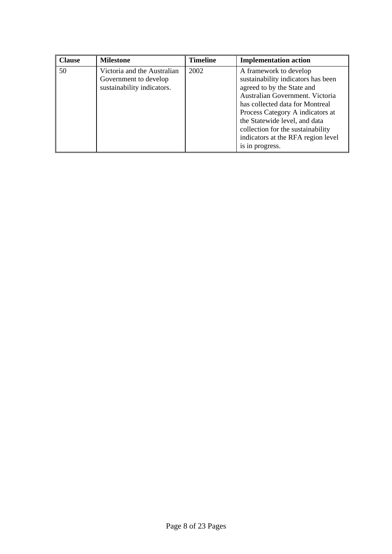| <b>Clause</b> | <b>Milestone</b>                                                                   | <b>Timeline</b> | <b>Implementation action</b>                                                                                                                                                                                                                                                                                                        |
|---------------|------------------------------------------------------------------------------------|-----------------|-------------------------------------------------------------------------------------------------------------------------------------------------------------------------------------------------------------------------------------------------------------------------------------------------------------------------------------|
| 50            | Victoria and the Australian<br>Government to develop<br>sustainability indicators. | 2002            | A framework to develop<br>sustainability indicators has been<br>agreed to by the State and<br>Australian Government. Victoria<br>has collected data for Montreal<br>Process Category A indicators at<br>the Statewide level, and data<br>collection for the sustainability<br>indicators at the RFA region level<br>is in progress. |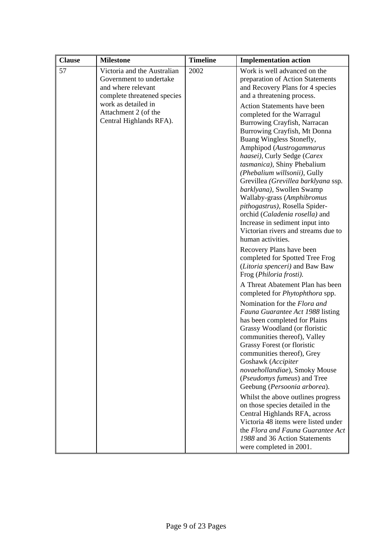| <b>Clause</b> | <b>Milestone</b>                                                                                            | <b>Timeline</b> | <b>Implementation action</b>                                                                                                                                                                                                                                                                                                                                                                                                                                                                                                                         |
|---------------|-------------------------------------------------------------------------------------------------------------|-----------------|------------------------------------------------------------------------------------------------------------------------------------------------------------------------------------------------------------------------------------------------------------------------------------------------------------------------------------------------------------------------------------------------------------------------------------------------------------------------------------------------------------------------------------------------------|
| 57            | Victoria and the Australian<br>Government to undertake<br>and where relevant<br>complete threatened species | 2002            | Work is well advanced on the<br>preparation of Action Statements<br>and Recovery Plans for 4 species<br>and a threatening process.                                                                                                                                                                                                                                                                                                                                                                                                                   |
|               | work as detailed in<br>Attachment 2 (of the<br>Central Highlands RFA).                                      |                 | Action Statements have been<br>completed for the Warragul<br>Burrowing Crayfish, Narracan<br>Burrowing Crayfish, Mt Donna<br>Buang Wingless Stonefly,<br>Amphipod (Austrogammarus<br>haasei), Curly Sedge (Carex<br>tasmanica), Shiny Phebalium<br>(Phebalium willsonii), Gully<br>Grevillea (Grevillea barklyana ssp.<br>barklyana), Swollen Swamp<br>Wallaby-grass (Amphibromus<br>pithogastrus), Rosella Spider-<br>orchid (Caladenia rosella) and<br>Increase in sediment input into<br>Victorian rivers and streams due to<br>human activities. |
|               |                                                                                                             |                 | Recovery Plans have been<br>completed for Spotted Tree Frog<br>(Litoria spenceri) and Baw Baw<br>Frog (Philoria frosti).<br>A Threat Abatement Plan has been                                                                                                                                                                                                                                                                                                                                                                                         |
|               |                                                                                                             |                 | completed for <i>Phytophthora</i> spp.                                                                                                                                                                                                                                                                                                                                                                                                                                                                                                               |
|               |                                                                                                             |                 | Nomination for the Flora and<br>Fauna Guarantee Act 1988 listing<br>has been completed for Plains<br>Grassy Woodland (or floristic<br>communities thereof), Valley<br>Grassy Forest (or floristic<br>communities thereof), Grey<br>Goshawk (Accipiter<br>novaehollandiae), Smoky Mouse<br>(Pseudomys fumeus) and Tree<br>Geebung (Persoonia arborea).                                                                                                                                                                                                |
|               |                                                                                                             |                 | Whilst the above outlines progress<br>on those species detailed in the<br>Central Highlands RFA, across<br>Victoria 48 items were listed under<br>the Flora and Fauna Guarantee Act<br>1988 and 36 Action Statements<br>were completed in 2001.                                                                                                                                                                                                                                                                                                      |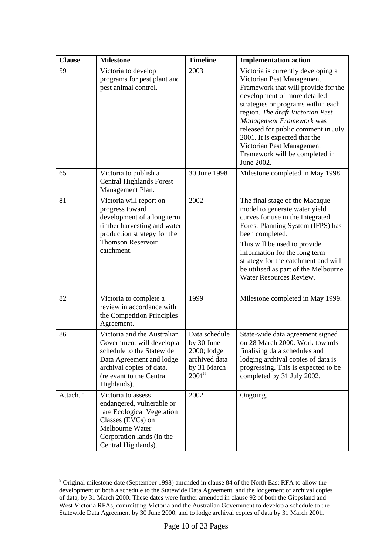| <b>Clause</b> | <b>Milestone</b>                                                                                                                                                                         | <b>Timeline</b>                                                                        | <b>Implementation action</b>                                                                                                                                                                                                                                                                                                                                                                      |
|---------------|------------------------------------------------------------------------------------------------------------------------------------------------------------------------------------------|----------------------------------------------------------------------------------------|---------------------------------------------------------------------------------------------------------------------------------------------------------------------------------------------------------------------------------------------------------------------------------------------------------------------------------------------------------------------------------------------------|
| 59            | Victoria to develop<br>programs for pest plant and<br>pest animal control.                                                                                                               | 2003                                                                                   | Victoria is currently developing a<br>Victorian Pest Management<br>Framework that will provide for the<br>development of more detailed<br>strategies or programs within each<br>region. The draft Victorian Pest<br>Management Framework was<br>released for public comment in July<br>2001. It is expected that the<br>Victorian Pest Management<br>Framework will be completed in<br>June 2002. |
| 65            | Victoria to publish a<br><b>Central Highlands Forest</b><br>Management Plan.                                                                                                             | 30 June 1998                                                                           | Milestone completed in May 1998.                                                                                                                                                                                                                                                                                                                                                                  |
| 81            | Victoria will report on<br>progress toward<br>development of a long term<br>timber harvesting and water<br>production strategy for the<br><b>Thomson Reservoir</b><br>catchment.         | 2002                                                                                   | The final stage of the Macaque<br>model to generate water yield<br>curves for use in the Integrated<br>Forest Planning System (IFPS) has<br>been completed.<br>This will be used to provide<br>information for the long term<br>strategy for the catchment and will<br>be utilised as part of the Melbourne<br>Water Resources Review.                                                            |
| 82            | Victoria to complete a<br>review in accordance with<br>the Competition Principles<br>Agreement.                                                                                          | 1999                                                                                   | Milestone completed in May 1999.                                                                                                                                                                                                                                                                                                                                                                  |
| 86            | Victoria and the Australian<br>Government will develop a<br>schedule to the Statewide<br>Data Agreement and lodge<br>archival copies of data.<br>(relevant to the Central<br>Highlands). | Data schedule<br>by 30 June<br>2000; lodge<br>archived data<br>by 31 March<br>$2001^8$ | State-wide data agreement signed<br>on 28 March 2000. Work towards<br>finalising data schedules and<br>lodging archival copies of data is<br>progressing. This is expected to be<br>completed by 31 July 2002.                                                                                                                                                                                    |
| Attach. 1     | Victoria to assess<br>endangered, vulnerable or<br>rare Ecological Vegetation<br>Classes (EVCs) on<br>Melbourne Water<br>Corporation lands (in the<br>Central Highlands).                | 2002                                                                                   | Ongoing.                                                                                                                                                                                                                                                                                                                                                                                          |

<span id="page-10-0"></span><sup>&</sup>lt;sup>8</sup> Original milestone date (September 1998) amended in clause 84 of the North East RFA to allow the development of both a schedule to the Statewide Data Agreement, and the lodgement of archival copies of data, by 31 March 2000. These dates were further amended in clause 92 of both the Gippsland and West Victoria RFAs, committing Victoria and the Australian Government to develop a schedule to the Statewide Data Agreement by 30 June 2000, and to lodge archival copies of data by 31 March 2001.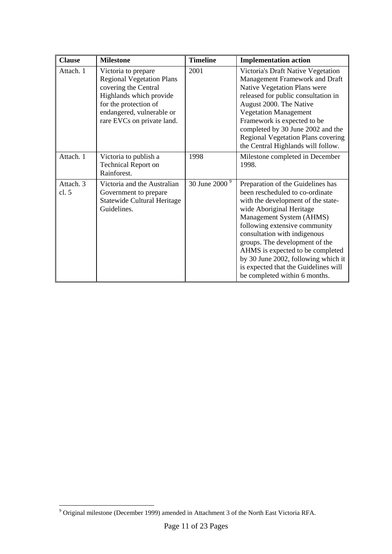| <b>Clause</b>        | <b>Milestone</b>                                                                                                                                                                               | <b>Timeline</b>           | <b>Implementation action</b>                                                                                                                                                                                                                                                                                                                                                                                              |
|----------------------|------------------------------------------------------------------------------------------------------------------------------------------------------------------------------------------------|---------------------------|---------------------------------------------------------------------------------------------------------------------------------------------------------------------------------------------------------------------------------------------------------------------------------------------------------------------------------------------------------------------------------------------------------------------------|
| Attach. 1            | Victoria to prepare<br><b>Regional Vegetation Plans</b><br>covering the Central<br>Highlands which provide<br>for the protection of<br>endangered, vulnerable or<br>rare EVCs on private land. | 2001                      | Victoria's Draft Native Vegetation<br>Management Framework and Draft<br>Native Vegetation Plans were<br>released for public consultation in<br>August 2000. The Native<br><b>Vegetation Management</b><br>Framework is expected to be<br>completed by 30 June 2002 and the<br>Regional Vegetation Plans covering<br>the Central Highlands will follow.                                                                    |
| Attach. 1            | Victoria to publish a<br><b>Technical Report on</b><br>Rainforest.                                                                                                                             | 1998                      | Milestone completed in December<br>1998.                                                                                                                                                                                                                                                                                                                                                                                  |
| Attach. 3<br>cl. $5$ | Victoria and the Australian<br>Government to prepare<br>Statewide Cultural Heritage<br>Guidelines.                                                                                             | 30 June 2000 <sup>9</sup> | Preparation of the Guidelines has<br>been rescheduled to co-ordinate<br>with the development of the state-<br>wide Aboriginal Heritage<br>Management System (AHMS)<br>following extensive community<br>consultation with indigenous<br>groups. The development of the<br>AHMS is expected to be completed<br>by 30 June 2002, following which it<br>is expected that the Guidelines will<br>be completed within 6 months. |

<span id="page-11-0"></span> 9 Original milestone (December 1999) amended in Attachment 3 of the North East Victoria RFA.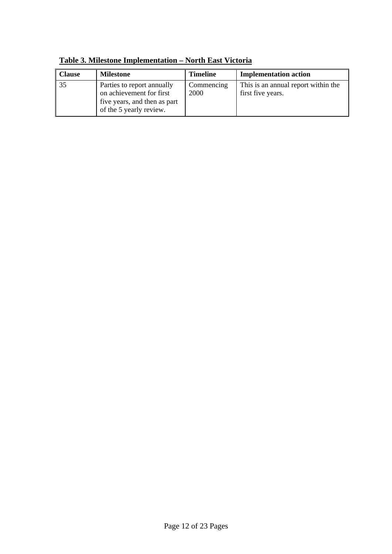| Clause | <b>Milestone</b>                                                                                                  | <b>Timeline</b>    | <b>Implementation action</b>                             |
|--------|-------------------------------------------------------------------------------------------------------------------|--------------------|----------------------------------------------------------|
| 135    | Parties to report annually<br>on achievement for first<br>five years, and then as part<br>of the 5 yearly review. | Commencing<br>2000 | This is an annual report within the<br>first five years. |

**Table 3. Milestone Implementation – North East Victoria**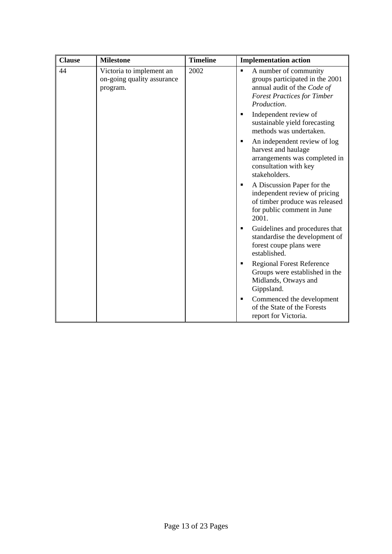| <b>Clause</b> | <b>Milestone</b>                                                   | <b>Timeline</b> | <b>Implementation action</b>                                                                                                                                   |
|---------------|--------------------------------------------------------------------|-----------------|----------------------------------------------------------------------------------------------------------------------------------------------------------------|
| 44            | Victoria to implement an<br>on-going quality assurance<br>program. | 2002            | A number of community<br>$\blacksquare$<br>groups participated in the 2001<br>annual audit of the Code of<br><b>Forest Practices for Timber</b><br>Production. |
|               |                                                                    |                 | Independent review of<br>٠<br>sustainable yield forecasting<br>methods was undertaken.                                                                         |
|               |                                                                    |                 | An independent review of log<br>٠<br>harvest and haulage<br>arrangements was completed in<br>consultation with key<br>stakeholders.                            |
|               |                                                                    |                 | A Discussion Paper for the<br>٠<br>independent review of pricing<br>of timber produce was released<br>for public comment in June<br>2001.                      |
|               |                                                                    |                 | Guidelines and procedures that<br>٠<br>standardise the development of<br>forest coupe plans were<br>established.                                               |
|               |                                                                    |                 | <b>Regional Forest Reference</b><br>٠<br>Groups were established in the<br>Midlands, Otways and<br>Gippsland.                                                  |
|               |                                                                    |                 | Commenced the development<br>٠<br>of the State of the Forests<br>report for Victoria.                                                                          |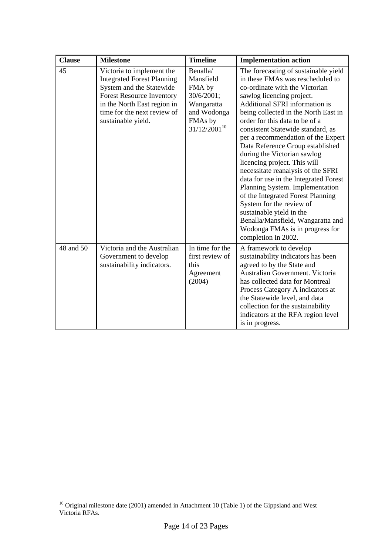| <b>Clause</b> | <b>Milestone</b>                                                                                                                                                                                                   | <b>Timeline</b>                                                                                            | <b>Implementation action</b>                                                                                                                                                                                                                                                                                                                                                                                                                                                                                                                                                                                                                                                                                                                    |
|---------------|--------------------------------------------------------------------------------------------------------------------------------------------------------------------------------------------------------------------|------------------------------------------------------------------------------------------------------------|-------------------------------------------------------------------------------------------------------------------------------------------------------------------------------------------------------------------------------------------------------------------------------------------------------------------------------------------------------------------------------------------------------------------------------------------------------------------------------------------------------------------------------------------------------------------------------------------------------------------------------------------------------------------------------------------------------------------------------------------------|
| 45            | Victoria to implement the<br><b>Integrated Forest Planning</b><br>System and the Statewide<br><b>Forest Resource Inventory</b><br>in the North East region in<br>time for the next review of<br>sustainable yield. | Benalla/<br>Mansfield<br>FMA by<br>30/6/2001;<br>Wangaratta<br>and Wodonga<br>FMAs by<br>$31/12/2001^{10}$ | The forecasting of sustainable yield<br>in these FMAs was rescheduled to<br>co-ordinate with the Victorian<br>sawlog licencing project.<br>Additional SFRI information is<br>being collected in the North East in<br>order for this data to be of a<br>consistent Statewide standard, as<br>per a recommendation of the Expert<br>Data Reference Group established<br>during the Victorian sawlog<br>licencing project. This will<br>necessitate reanalysis of the SFRI<br>data for use in the Integrated Forest<br>Planning System. Implementation<br>of the Integrated Forest Planning<br>System for the review of<br>sustainable yield in the<br>Benalla/Mansfield, Wangaratta and<br>Wodonga FMAs is in progress for<br>completion in 2002. |
| 48 and 50     | Victoria and the Australian<br>Government to develop<br>sustainability indicators.                                                                                                                                 | In time for the<br>first review of<br>this<br>Agreement<br>(2004)                                          | A framework to develop<br>sustainability indicators has been<br>agreed to by the State and<br>Australian Government. Victoria<br>has collected data for Montreal<br>Process Category A indicators at<br>the Statewide level, and data<br>collection for the sustainability<br>indicators at the RFA region level<br>is in progress.                                                                                                                                                                                                                                                                                                                                                                                                             |

 $\overline{a}$ 

<span id="page-14-0"></span> $10$  Original milestone date (2001) amended in Attachment 10 (Table 1) of the Gippsland and West Victoria RFAs.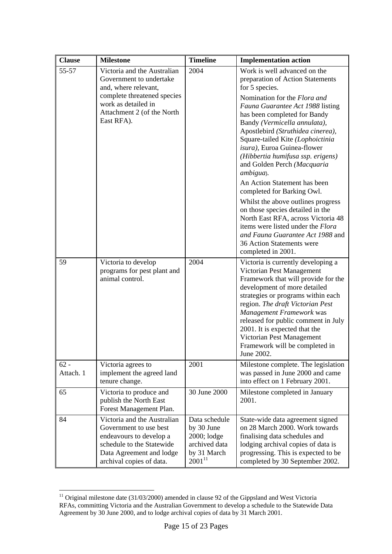| <b>Clause</b>       | <b>Milestone</b>                                                                                                                                                      | <b>Timeline</b>                                                                           | <b>Implementation action</b>                                                                                                                                                                                                                                                                                                                                                                      |
|---------------------|-----------------------------------------------------------------------------------------------------------------------------------------------------------------------|-------------------------------------------------------------------------------------------|---------------------------------------------------------------------------------------------------------------------------------------------------------------------------------------------------------------------------------------------------------------------------------------------------------------------------------------------------------------------------------------------------|
| 55-57               | Victoria and the Australian<br>Government to undertake<br>and, where relevant,                                                                                        | 2004                                                                                      | Work is well advanced on the<br>preparation of Action Statements<br>for 5 species.                                                                                                                                                                                                                                                                                                                |
|                     | complete threatened species<br>work as detailed in<br>Attachment 2 (of the North<br>East RFA).                                                                        |                                                                                           | Nomination for the Flora and<br>Fauna Guarantee Act 1988 listing<br>has been completed for Bandy<br>Bandy (Vermicella annulata),<br>Apostlebird (Struthidea cinerea),<br>Square-tailed Kite (Lophoictinia<br>isura), Euroa Guinea-flower<br>(Hibbertia humifusa ssp. erigens)<br>and Golden Perch (Macquaria<br>ambigua).                                                                         |
|                     |                                                                                                                                                                       |                                                                                           | An Action Statement has been<br>completed for Barking Owl.                                                                                                                                                                                                                                                                                                                                        |
|                     |                                                                                                                                                                       |                                                                                           | Whilst the above outlines progress<br>on those species detailed in the<br>North East RFA, across Victoria 48<br>items were listed under the <i>Flora</i><br>and Fauna Guarantee Act 1988 and<br>36 Action Statements were<br>completed in 2001.                                                                                                                                                   |
| 59                  | Victoria to develop<br>programs for pest plant and<br>animal control.                                                                                                 | 2004                                                                                      | Victoria is currently developing a<br>Victorian Pest Management<br>Framework that will provide for the<br>development of more detailed<br>strategies or programs within each<br>region. The draft Victorian Pest<br>Management Framework was<br>released for public comment in July<br>2001. It is expected that the<br>Victorian Pest Management<br>Framework will be completed in<br>June 2002. |
| $62 -$<br>Attach. 1 | Victoria agrees to<br>implement the agreed land<br>tenure change.                                                                                                     | 2001                                                                                      | Milestone complete. The legislation<br>was passed in June 2000 and came<br>into effect on 1 February 2001.                                                                                                                                                                                                                                                                                        |
| 65                  | Victoria to produce and<br>publish the North East<br>Forest Management Plan.                                                                                          | 30 June 2000                                                                              | Milestone completed in January<br>2001.                                                                                                                                                                                                                                                                                                                                                           |
| 84                  | Victoria and the Australian<br>Government to use best<br>endeavours to develop a<br>schedule to the Statewide<br>Data Agreement and lodge<br>archival copies of data. | Data schedule<br>by 30 June<br>2000; lodge<br>archived data<br>by 31 March<br>$2001^{11}$ | State-wide data agreement signed<br>on 28 March 2000. Work towards<br>finalising data schedules and<br>lodging archival copies of data is<br>progressing. This is expected to be<br>completed by 30 September 2002.                                                                                                                                                                               |

<span id="page-15-0"></span> $\overline{a}$  $11$  Original milestone date (31/03/2000) amended in clause 92 of the Gippsland and West Victoria RFAs, committing Victoria and the Australian Government to develop a schedule to the Statewide Data Agreement by 30 June 2000, and to lodge archival copies of data by 31 March 2001.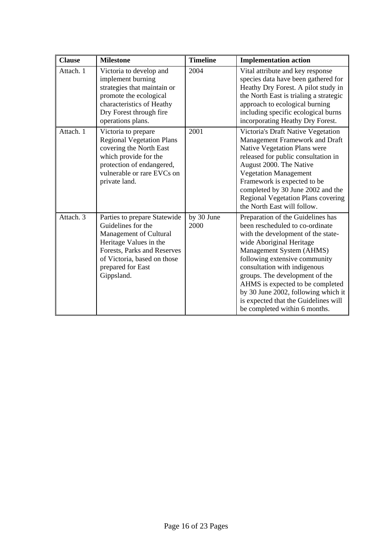| <b>Clause</b> | <b>Milestone</b>                                                                                                                                                                                        | <b>Timeline</b>    | <b>Implementation action</b>                                                                                                                                                                                                                                                                                                                                                                                              |
|---------------|---------------------------------------------------------------------------------------------------------------------------------------------------------------------------------------------------------|--------------------|---------------------------------------------------------------------------------------------------------------------------------------------------------------------------------------------------------------------------------------------------------------------------------------------------------------------------------------------------------------------------------------------------------------------------|
| Attach. 1     | Victoria to develop and<br>implement burning<br>strategies that maintain or<br>promote the ecological<br>characteristics of Heathy<br>Dry Forest through fire<br>operations plans.                      | 2004               | Vital attribute and key response<br>species data have been gathered for<br>Heathy Dry Forest. A pilot study in<br>the North East is trialing a strategic<br>approach to ecological burning<br>including specific ecological burns<br>incorporating Heathy Dry Forest.                                                                                                                                                     |
| Attach. 1     | Victoria to prepare<br><b>Regional Vegetation Plans</b><br>covering the North East<br>which provide for the<br>protection of endangered,<br>vulnerable or rare EVCs on<br>private land.                 | 2001               | Victoria's Draft Native Vegetation<br>Management Framework and Draft<br>Native Vegetation Plans were<br>released for public consultation in<br>August 2000. The Native<br><b>Vegetation Management</b><br>Framework is expected to be<br>completed by 30 June 2002 and the<br>Regional Vegetation Plans covering<br>the North East will follow.                                                                           |
| Attach. 3     | Parties to prepare Statewide<br>Guidelines for the<br>Management of Cultural<br>Heritage Values in the<br>Forests, Parks and Reserves<br>of Victoria, based on those<br>prepared for East<br>Gippsland. | by 30 June<br>2000 | Preparation of the Guidelines has<br>been rescheduled to co-ordinate<br>with the development of the state-<br>wide Aboriginal Heritage<br>Management System (AHMS)<br>following extensive community<br>consultation with indigenous<br>groups. The development of the<br>AHMS is expected to be completed<br>by 30 June 2002, following which it<br>is expected that the Guidelines will<br>be completed within 6 months. |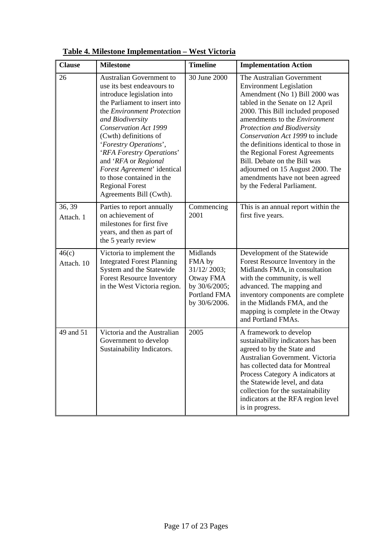| <b>Clause</b>       | <b>Milestone</b>                                                                                                                                                                                                                                                                                                                                                                                                                        | <b>Timeline</b>                                                                                         | <b>Implementation Action</b>                                                                                                                                                                                                                                                                                                                                                                                                                                                                      |
|---------------------|-----------------------------------------------------------------------------------------------------------------------------------------------------------------------------------------------------------------------------------------------------------------------------------------------------------------------------------------------------------------------------------------------------------------------------------------|---------------------------------------------------------------------------------------------------------|---------------------------------------------------------------------------------------------------------------------------------------------------------------------------------------------------------------------------------------------------------------------------------------------------------------------------------------------------------------------------------------------------------------------------------------------------------------------------------------------------|
| 26                  | <b>Australian Government to</b><br>use its best endeavours to<br>introduce legislation into<br>the Parliament to insert into<br>the Environment Protection<br>and Biodiversity<br><b>Conservation Act 1999</b><br>(Cwth) definitions of<br>'Forestry Operations',<br>'RFA Forestry Operations'<br>and 'RFA or Regional<br>Forest Agreement' identical<br>to those contained in the<br><b>Regional Forest</b><br>Agreements Bill (Cwth). | 30 June 2000                                                                                            | The Australian Government<br><b>Environment Legislation</b><br>Amendment (No 1) Bill 2000 was<br>tabled in the Senate on 12 April<br>2000. This Bill included proposed<br>amendments to the <i>Environment</i><br>Protection and Biodiversity<br>Conservation Act 1999 to include<br>the definitions identical to those in<br>the Regional Forest Agreements<br>Bill. Debate on the Bill was<br>adjourned on 15 August 2000. The<br>amendments have not been agreed<br>by the Federal Parliament. |
| 36, 39<br>Attach. 1 | Parties to report annually<br>on achievement of<br>milestones for first five<br>years, and then as part of<br>the 5 yearly review                                                                                                                                                                                                                                                                                                       | Commencing<br>2001                                                                                      | This is an annual report within the<br>first five years.                                                                                                                                                                                                                                                                                                                                                                                                                                          |
| 46(c)<br>Attach. 10 | Victoria to implement the<br><b>Integrated Forest Planning</b><br>System and the Statewide<br><b>Forest Resource Inventory</b><br>in the West Victoria region.                                                                                                                                                                                                                                                                          | Midlands<br>FMA by<br>31/12/2003;<br>Otway FMA<br>by 30/6/2005;<br><b>Portland FMA</b><br>by 30/6/2006. | Development of the Statewide<br>Forest Resource Inventory in the<br>Midlands FMA, in consultation<br>with the community, is well<br>advanced. The mapping and<br>inventory components are complete<br>in the Midlands FMA, and the<br>mapping is complete in the Otway<br>and Portland FMAs.                                                                                                                                                                                                      |
| 49 and 51           | Victoria and the Australian<br>Government to develop<br>Sustainability Indicators.                                                                                                                                                                                                                                                                                                                                                      | 2005                                                                                                    | A framework to develop<br>sustainability indicators has been<br>agreed to by the State and<br>Australian Government. Victoria<br>has collected data for Montreal<br>Process Category A indicators at<br>the Statewide level, and data<br>collection for the sustainability<br>indicators at the RFA region level<br>is in progress.                                                                                                                                                               |

**Table 4. Milestone Implementation – West Victoria**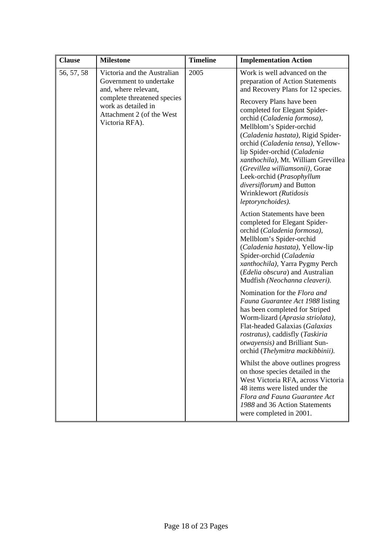| <b>Clause</b> | <b>Milestone</b>                                                                                  | <b>Timeline</b> | <b>Implementation Action</b>                                                                                                                                                                                                                                                                                                                                                                                       |
|---------------|---------------------------------------------------------------------------------------------------|-----------------|--------------------------------------------------------------------------------------------------------------------------------------------------------------------------------------------------------------------------------------------------------------------------------------------------------------------------------------------------------------------------------------------------------------------|
| 56, 57, 58    | Victoria and the Australian<br>Government to undertake<br>and, where relevant,                    | 2005            | Work is well advanced on the<br>preparation of Action Statements<br>and Recovery Plans for 12 species.                                                                                                                                                                                                                                                                                                             |
|               | complete threatened species<br>work as detailed in<br>Attachment 2 (of the West<br>Victoria RFA). |                 | Recovery Plans have been<br>completed for Elegant Spider-<br>orchid (Caladenia formosa),<br>Mellblom's Spider-orchid<br>(Caladenia hastata), Rigid Spider-<br>orchid (Caladenia tensa), Yellow-<br>lip Spider-orchid (Caladenia<br>xanthochila), Mt. William Grevillea<br>(Grevillea williamsonii), Gorae<br>Leek-orchid (Prasophyllum<br>diversiflorum) and Button<br>Wrinklewort (Rutidosis<br>leptorynchoides). |
|               |                                                                                                   |                 | <b>Action Statements have been</b><br>completed for Elegant Spider-<br>orchid (Caladenia formosa),<br>Mellblom's Spider-orchid<br>(Caladenia hastata), Yellow-lip<br>Spider-orchid (Caladenia<br>xanthochila), Yarra Pygmy Perch<br>(Edelia obscura) and Australian<br>Mudfish (Neochanna cleaveri).                                                                                                               |
|               |                                                                                                   |                 | Nomination for the Flora and<br>Fauna Guarantee Act 1988 listing<br>has been completed for Striped<br>Worm-lizard (Aprasia striolata),<br>Flat-headed Galaxias (Galaxias<br>rostratus), caddisfly (Taskiria<br><i>otwayensis</i> ) and Brilliant Sun-<br>orchid (Thelymitra mackibbinii).                                                                                                                          |
|               |                                                                                                   |                 | Whilst the above outlines progress<br>on those species detailed in the<br>West Victoria RFA, across Victoria<br>48 items were listed under the<br>Flora and Fauna Guarantee Act<br>1988 and 36 Action Statements<br>were completed in 2001.                                                                                                                                                                        |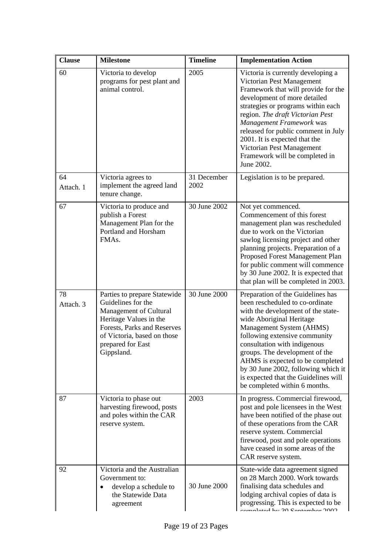| <b>Clause</b>   | <b>Milestone</b>                                                                                                                                                                                        | <b>Timeline</b>     | <b>Implementation Action</b>                                                                                                                                                                                                                                                                                                                                                                                              |
|-----------------|---------------------------------------------------------------------------------------------------------------------------------------------------------------------------------------------------------|---------------------|---------------------------------------------------------------------------------------------------------------------------------------------------------------------------------------------------------------------------------------------------------------------------------------------------------------------------------------------------------------------------------------------------------------------------|
| 60              | Victoria to develop<br>programs for pest plant and<br>animal control.                                                                                                                                   | 2005                | Victoria is currently developing a<br>Victorian Pest Management<br>Framework that will provide for the<br>development of more detailed<br>strategies or programs within each<br>region. The draft Victorian Pest<br>Management Framework was<br>released for public comment in July<br>2001. It is expected that the<br>Victorian Pest Management<br>Framework will be completed in<br>June 2002.                         |
| 64<br>Attach. 1 | Victoria agrees to<br>implement the agreed land<br>tenure change.                                                                                                                                       | 31 December<br>2002 | Legislation is to be prepared.                                                                                                                                                                                                                                                                                                                                                                                            |
| 67              | Victoria to produce and<br>publish a Forest<br>Management Plan for the<br>Portland and Horsham<br>FMAs.                                                                                                 | 30 June 2002        | Not yet commenced.<br>Commencement of this forest<br>management plan was rescheduled<br>due to work on the Victorian<br>sawlog licensing project and other<br>planning projects. Preparation of a<br>Proposed Forest Management Plan<br>for public comment will commence<br>by 30 June 2002. It is expected that<br>that plan will be completed in 2003.                                                                  |
| 78<br>Attach. 3 | Parties to prepare Statewide<br>Guidelines for the<br>Management of Cultural<br>Heritage Values in the<br>Forests, Parks and Reserves<br>of Victoria, based on those<br>prepared for East<br>Gippsland. | 30 June 2000        | Preparation of the Guidelines has<br>been rescheduled to co-ordinate<br>with the development of the state-<br>wide Aboriginal Heritage<br>Management System (AHMS)<br>following extensive community<br>consultation with indigenous<br>groups. The development of the<br>AHMS is expected to be completed<br>by 30 June 2002, following which it<br>is expected that the Guidelines will<br>be completed within 6 months. |
| 87              | Victoria to phase out<br>harvesting firewood, posts<br>and poles within the CAR<br>reserve system.                                                                                                      | 2003                | In progress. Commercial firewood,<br>post and pole licensees in the West<br>have been notified of the phase out<br>of these operations from the CAR<br>reserve system. Commercial<br>firewood, post and pole operations<br>have ceased in some areas of the<br>CAR reserve system.                                                                                                                                        |
| 92              | Victoria and the Australian<br>Government to:<br>develop a schedule to<br>the Statewide Data<br>agreement                                                                                               | 30 June 2000        | State-wide data agreement signed<br>on 28 March 2000. Work towards<br>finalising data schedules and<br>lodging archival copies of data is<br>progressing. This is expected to be<br>$ad \text{km}$ 20 Contambon 2002                                                                                                                                                                                                      |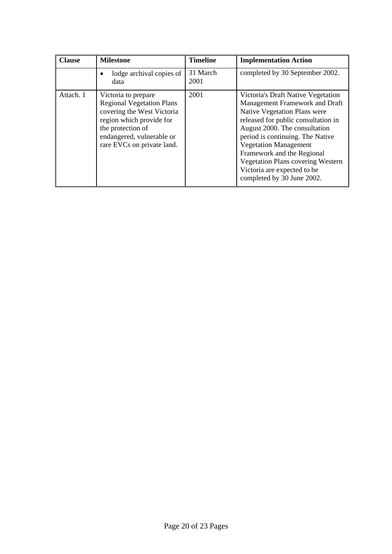| <b>Clause</b> | <b>Milestone</b>                                                                                                                                                                                  | <b>Timeline</b>  | <b>Implementation Action</b>                                                                                                                                                                                                                                                                                                                                                            |
|---------------|---------------------------------------------------------------------------------------------------------------------------------------------------------------------------------------------------|------------------|-----------------------------------------------------------------------------------------------------------------------------------------------------------------------------------------------------------------------------------------------------------------------------------------------------------------------------------------------------------------------------------------|
|               | lodge archival copies of<br>data                                                                                                                                                                  | 31 March<br>2001 | completed by 30 September 2002.                                                                                                                                                                                                                                                                                                                                                         |
| Attach. 1     | Victoria to prepare<br><b>Regional Vegetation Plans</b><br>covering the West Victoria<br>region which provide for<br>the protection of<br>endangered, vulnerable or<br>rare EVCs on private land. | 2001             | Victoria's Draft Native Vegetation<br>Management Framework and Draft<br>Native Vegetation Plans were<br>released for public consultation in<br>August 2000. The consultation<br>period is continuing. The Native<br><b>Vegetation Management</b><br>Framework and the Regional<br><b>Vegetation Plans covering Western</b><br>Victoria are expected to be<br>completed by 30 June 2002. |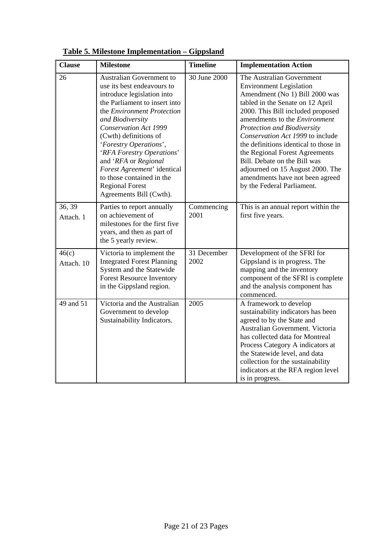| <b>Clause</b>       | <b>Milestone</b>                                                                                                                                                                                                                                                                                                                                                                                                                        | <b>Timeline</b>     | <b>Implementation Action</b>                                                                                                                                                                                                                                                                                                                                                                                                                                                                             |
|---------------------|-----------------------------------------------------------------------------------------------------------------------------------------------------------------------------------------------------------------------------------------------------------------------------------------------------------------------------------------------------------------------------------------------------------------------------------------|---------------------|----------------------------------------------------------------------------------------------------------------------------------------------------------------------------------------------------------------------------------------------------------------------------------------------------------------------------------------------------------------------------------------------------------------------------------------------------------------------------------------------------------|
| 26                  | <b>Australian Government to</b><br>use its best endeavours to<br>introduce legislation into<br>the Parliament to insert into<br>the <i>Environment Protection</i><br>and Biodiversity<br>Conservation Act 1999<br>(Cwth) definitions of<br>'Forestry Operations',<br>'RFA Forestry Operations'<br>and 'RFA or Regional<br>Forest Agreement' identical<br>to those contained in the<br><b>Regional Forest</b><br>Agreements Bill (Cwth). | 30 June 2000        | The Australian Government<br><b>Environment Legislation</b><br>Amendment (No 1) Bill 2000 was<br>tabled in the Senate on 12 April<br>2000. This Bill included proposed<br>amendments to the <i>Environment</i><br><b>Protection and Biodiversity</b><br>Conservation Act 1999 to include<br>the definitions identical to those in<br>the Regional Forest Agreements<br>Bill. Debate on the Bill was<br>adjourned on 15 August 2000. The<br>amendments have not been agreed<br>by the Federal Parliament. |
| 36, 39<br>Attach. 1 | Parties to report annually<br>on achievement of<br>milestones for the first five<br>years, and then as part of<br>the 5 yearly review.                                                                                                                                                                                                                                                                                                  | Commencing<br>2001  | This is an annual report within the<br>first five years.                                                                                                                                                                                                                                                                                                                                                                                                                                                 |
| 46(c)<br>Attach. 10 | Victoria to implement the<br><b>Integrated Forest Planning</b><br>System and the Statewide<br><b>Forest Resource Inventory</b><br>in the Gippsland region.                                                                                                                                                                                                                                                                              | 31 December<br>2002 | Development of the SFRI for<br>Gippsland is in progress. The<br>mapping and the inventory<br>component of the SFRI is complete<br>and the analysis component has<br>commenced.                                                                                                                                                                                                                                                                                                                           |
| 49 and 51           | Victoria and the Australian<br>Government to develop<br>Sustainability Indicators.                                                                                                                                                                                                                                                                                                                                                      | 2005                | A framework to develop<br>sustainability indicators has been<br>agreed to by the State and<br>Australian Government. Victoria<br>has collected data for Montreal<br>Process Category A indicators at<br>the Statewide level, and data<br>collection for the sustainability<br>indicators at the RFA region level<br>is in progress.                                                                                                                                                                      |

## **Table 5. Milestone Implementation – Gippsland**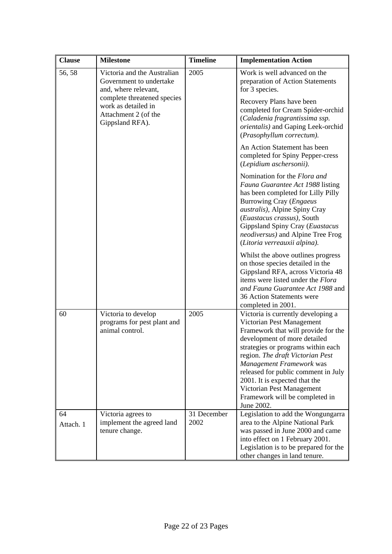| <b>Clause</b>   | <b>Milestone</b>                                                                                                                                                                | <b>Timeline</b>     | <b>Implementation Action</b>                                                                                                                                                                                                                                                                                                                                                                      |
|-----------------|---------------------------------------------------------------------------------------------------------------------------------------------------------------------------------|---------------------|---------------------------------------------------------------------------------------------------------------------------------------------------------------------------------------------------------------------------------------------------------------------------------------------------------------------------------------------------------------------------------------------------|
| 56, 58          | Victoria and the Australian<br>Government to undertake<br>and, where relevant,<br>complete threatened species<br>work as detailed in<br>Attachment 2 (of the<br>Gippsland RFA). | 2005                | Work is well advanced on the<br>preparation of Action Statements<br>for 3 species.                                                                                                                                                                                                                                                                                                                |
|                 |                                                                                                                                                                                 |                     | Recovery Plans have been<br>completed for Cream Spider-orchid<br>(Caladenia fragrantissima ssp.<br>orientalis) and Gaping Leek-orchid<br>(Prasophyllum correctum).                                                                                                                                                                                                                                |
|                 |                                                                                                                                                                                 |                     | An Action Statement has been<br>completed for Spiny Pepper-cress<br>(Lepidium aschersonii).                                                                                                                                                                                                                                                                                                       |
|                 |                                                                                                                                                                                 |                     | Nomination for the Flora and<br>Fauna Guarantee Act 1988 listing<br>has been completed for Lilly Pilly<br>Burrowing Cray (Engaeus<br>australis), Alpine Spiny Cray<br>(Euastacus crassus), South<br>Gippsland Spiny Cray (Euastacus<br>neodiversus) and Alpine Tree Frog<br>(Litoria verreauxii alpina).                                                                                          |
|                 |                                                                                                                                                                                 |                     | Whilst the above outlines progress<br>on those species detailed in the<br>Gippsland RFA, across Victoria 48<br>items were listed under the Flora<br>and Fauna Guarantee Act 1988 and<br>36 Action Statements were<br>completed in 2001.                                                                                                                                                           |
| 60              | Victoria to develop<br>programs for pest plant and<br>animal control.                                                                                                           | 2005                | Victoria is currently developing a<br>Victorian Pest Management<br>Framework that will provide for the<br>development of more detailed<br>strategies or programs within each<br>region. The draft Victorian Pest<br>Management Framework was<br>released for public comment in July<br>2001. It is expected that the<br>Victorian Pest Management<br>Framework will be completed in<br>June 2002. |
| 64<br>Attach. 1 | Victoria agrees to<br>implement the agreed land<br>tenure change.                                                                                                               | 31 December<br>2002 | Legislation to add the Wongungarra<br>area to the Alpine National Park<br>was passed in June 2000 and came<br>into effect on 1 February 2001.<br>Legislation is to be prepared for the<br>other changes in land tenure.                                                                                                                                                                           |